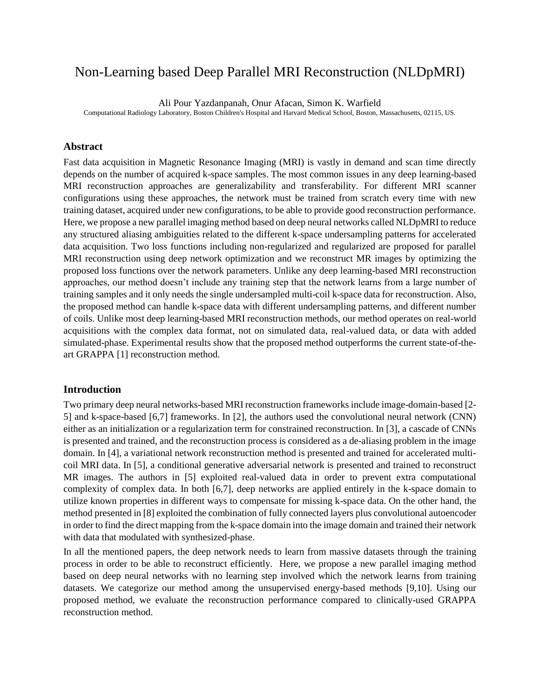# Non-Learning based Deep Parallel MRI Reconstruction (NLDpMRI)

Ali Pour Yazdanpanah, Onur Afacan, Simon K. Warfield

Computational Radiology Laboratory, Boston Children's Hospital and Harvard Medical School, Boston, Massachusetts, 02115, US.

#### **Abstract**

Fast data acquisition in Magnetic Resonance Imaging (MRI) is vastly in demand and scan time directly depends on the number of acquired k-space samples. The most common issues in any deep learning-based MRI reconstruction approaches are generalizability and transferability. For different MRI scanner configurations using these approaches, the network must be trained from scratch every time with new training dataset, acquired under new configurations, to be able to provide good reconstruction performance. Here, we propose a new parallel imaging method based on deep neural networks called NLDpMRI to reduce any structured aliasing ambiguities related to the different k-space undersampling patterns for accelerated data acquisition. Two loss functions including non-regularized and regularized are proposed for parallel MRI reconstruction using deep network optimization and we reconstruct MR images by optimizing the proposed loss functions over the network parameters. Unlike any deep learning-based MRI reconstruction approaches, our method doesn't include any training step that the network learns from a large number of training samples and it only needs the single undersampled multi-coil k-space data for reconstruction. Also, the proposed method can handle k-space data with different undersampling patterns, and different number of coils. Unlike most deep learning-based MRI reconstruction methods, our method operates on real-world acquisitions with the complex data format, not on simulated data, real-valued data, or data with added simulated-phase. Experimental results show that the proposed method outperforms the current state-of-theart GRAPPA [1] reconstruction method.

#### **Introduction**

Two primary deep neural networks-based MRI reconstruction frameworks include image-domain-based [2- 5] and k-space-based [6,7] frameworks. In [2], the authors used the convolutional neural network (CNN) either as an initialization or a regularization term for constrained reconstruction. In [3], a cascade of CNNs is presented and trained, and the reconstruction process is considered as a de-aliasing problem in the image domain. In [4], a variational network reconstruction method is presented and trained for accelerated multicoil MRI data. In [5], a conditional generative adversarial network is presented and trained to reconstruct MR images. The authors in [5] exploited real-valued data in order to prevent extra computational complexity of complex data. In both [6,7], deep networks are applied entirely in the k-space domain to utilize known properties in different ways to compensate for missing k-space data. On the other hand, the method presented in [8] exploited the combination of fully connected layers plus convolutional autoencoder in order to find the direct mapping from the k-space domain into the image domain and trained their network with data that modulated with synthesized-phase.

In all the mentioned papers, the deep network needs to learn from massive datasets through the training process in order to be able to reconstruct efficiently. Here, we propose a new parallel imaging method based on deep neural networks with no learning step involved which the network learns from training datasets. We categorize our method among the unsupervised energy-based methods [9,10]. Using our proposed method, we evaluate the reconstruction performance compared to clinically-used GRAPPA reconstruction method.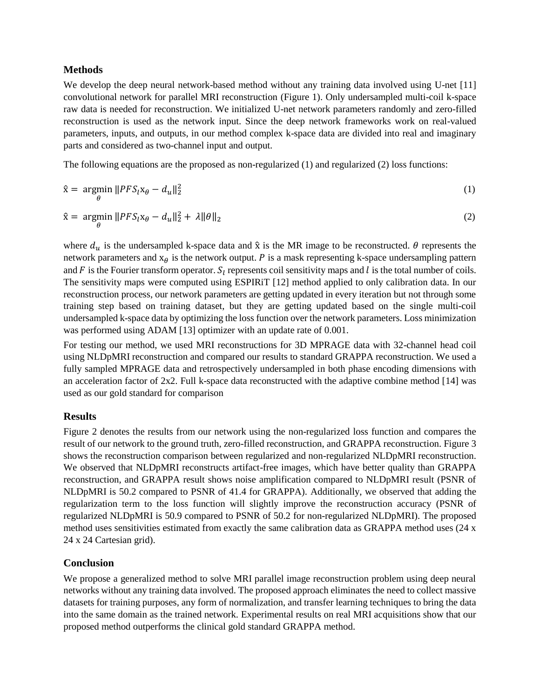## **Methods**

We develop the deep neural network-based method without any training data involved using U-net [11] convolutional network for parallel MRI reconstruction (Figure 1). Only undersampled multi-coil k-space raw data is needed for reconstruction. We initialized U-net network parameters randomly and zero-filled reconstruction is used as the network input. Since the deep network frameworks work on real-valued parameters, inputs, and outputs, in our method complex k-space data are divided into real and imaginary parts and considered as two-channel input and output.

The following equations are the proposed as non-regularized (1) and regularized (2) loss functions:

$$
\hat{\mathbf{x}} = \underset{\theta}{\text{argmin}} \ \|PFS_l \mathbf{x}_{\theta} - d_u\|_2^2 \tag{1}
$$

$$
\hat{\mathbf{x}} = \underset{\theta}{\text{argmin}} \left\| PFS_l \mathbf{x}_{\theta} - d_u \right\|_2^2 + \lambda \|\theta\|_2 \tag{2}
$$

where  $d_u$  is the undersampled k-space data and  $\hat{x}$  is the MR image to be reconstructed.  $\theta$  represents the network parameters and  $x_{\theta}$  is the network output. P is a mask representing k-space undersampling pattern and F is the Fourier transform operator.  $S_l$  represents coil sensitivity maps and l is the total number of coils. The sensitivity maps were computed using ESPIRiT [12] method applied to only calibration data. In our reconstruction process, our network parameters are getting updated in every iteration but not through some training step based on training dataset, but they are getting updated based on the single multi-coil undersampled k-space data by optimizing the loss function over the network parameters. Loss minimization was performed using ADAM [13] optimizer with an update rate of 0.001.

For testing our method, we used MRI reconstructions for 3D MPRAGE data with 32-channel head coil using NLDpMRI reconstruction and compared our results to standard GRAPPA reconstruction. We used a fully sampled MPRAGE data and retrospectively undersampled in both phase encoding dimensions with an acceleration factor of 2x2. Full k-space data reconstructed with the adaptive combine method [14] was used as our gold standard for comparison

## **Results**

Figure 2 denotes the results from our network using the non-regularized loss function and compares the result of our network to the ground truth, zero-filled reconstruction, and GRAPPA reconstruction. Figure 3 shows the reconstruction comparison between regularized and non-regularized NLDpMRI reconstruction. We observed that NLDpMRI reconstructs artifact-free images, which have better quality than GRAPPA reconstruction, and GRAPPA result shows noise amplification compared to NLDpMRI result (PSNR of NLDpMRI is 50.2 compared to PSNR of 41.4 for GRAPPA). Additionally, we observed that adding the regularization term to the loss function will slightly improve the reconstruction accuracy (PSNR of regularized NLDpMRI is 50.9 compared to PSNR of 50.2 for non-regularized NLDpMRI). The proposed method uses sensitivities estimated from exactly the same calibration data as GRAPPA method uses (24 x 24 x 24 Cartesian grid).

## **Conclusion**

We propose a generalized method to solve MRI parallel image reconstruction problem using deep neural networks without any training data involved. The proposed approach eliminates the need to collect massive datasets for training purposes, any form of normalization, and transfer learning techniques to bring the data into the same domain as the trained network. Experimental results on real MRI acquisitions show that our proposed method outperforms the clinical gold standard GRAPPA method.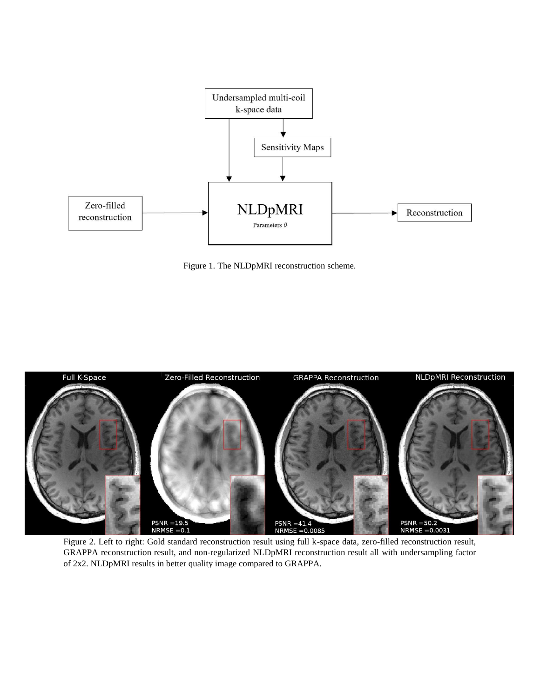

Figure 1. The NLDpMRI reconstruction scheme.



Figure 2. Left to right: Gold standard reconstruction result using full k-space data, zero-filled reconstruction result, GRAPPA reconstruction result, and non-regularized NLDpMRI reconstruction result all with undersampling factor of 2x2. NLDpMRI results in better quality image compared to GRAPPA.